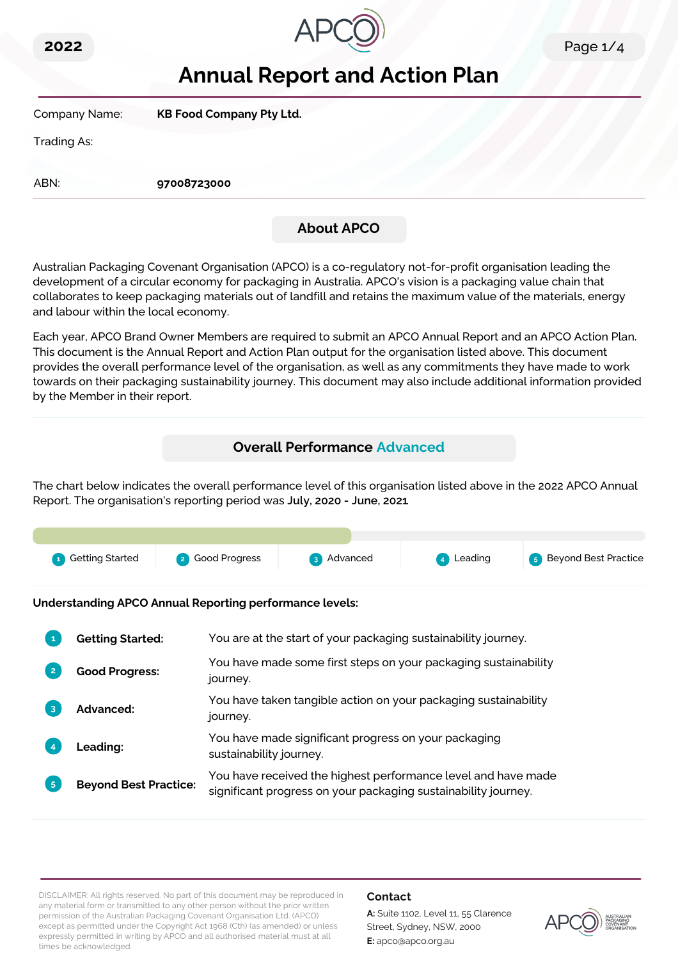



# **Annual Report and Action Plan**

Company Name: **KB Food Company Pty Ltd.**

Trading As:

ABN: **97008723000**

## **About APCO**

Australian Packaging Covenant Organisation (APCO) is a co-regulatory not-for-profit organisation leading the development of a circular economy for packaging in Australia. APCO's vision is a packaging value chain that collaborates to keep packaging materials out of landfill and retains the maximum value of the materials, energy and labour within the local economy.

Each year, APCO Brand Owner Members are required to submit an APCO Annual Report and an APCO Action Plan. This document is the Annual Report and Action Plan output for the organisation listed above. This document provides the overall performance level of the organisation, as well as any commitments they have made to work towards on their packaging sustainability journey. This document may also include additional information provided by the Member in their report.

### **Overall Performance Advanced**

The chart below indicates the overall performance level of this organisation listed above in the 2022 APCO Annual Report. The organisation's reporting period was **July, 2020 - June, 2021**.

| <b>1</b> Getting Started | 2 Good Progress | 3 Advanced | 4 Leading | <b>5</b> Beyond Best Practice |
|--------------------------|-----------------|------------|-----------|-------------------------------|

**Understanding APCO Annual Reporting performance levels:**

|                | <b>Getting Started:</b>      | You are at the start of your packaging sustainability journey.                                                                  |
|----------------|------------------------------|---------------------------------------------------------------------------------------------------------------------------------|
|                | <b>Good Progress:</b>        | You have made some first steps on your packaging sustainability<br>journey.                                                     |
|                | Advanced:                    | You have taken tangible action on your packaging sustainability<br>journey.                                                     |
|                | <b>Leading:</b>              | You have made significant progress on your packaging<br>sustainability journey.                                                 |
| 5 <sup>5</sup> | <b>Beyond Best Practice:</b> | You have received the highest performance level and have made<br>significant progress on your packaging sustainability journey. |

DISCLAIMER: All rights reserved. No part of this document may be reproduced in any material form or transmitted to any other person without the prior written permission of the Australian Packaging Covenant Organisation Ltd. (APCO) except as permitted under the Copyright Act 1968 (Cth) (as amended) or unless expressly permitted in writing by APCO and all authorised material must at all times be acknowledged.

### **Contact**

**A:** Suite 1102, Level 11, 55 Clarence Street, Sydney, NSW, 2000 **E:** apco@apco.org.au

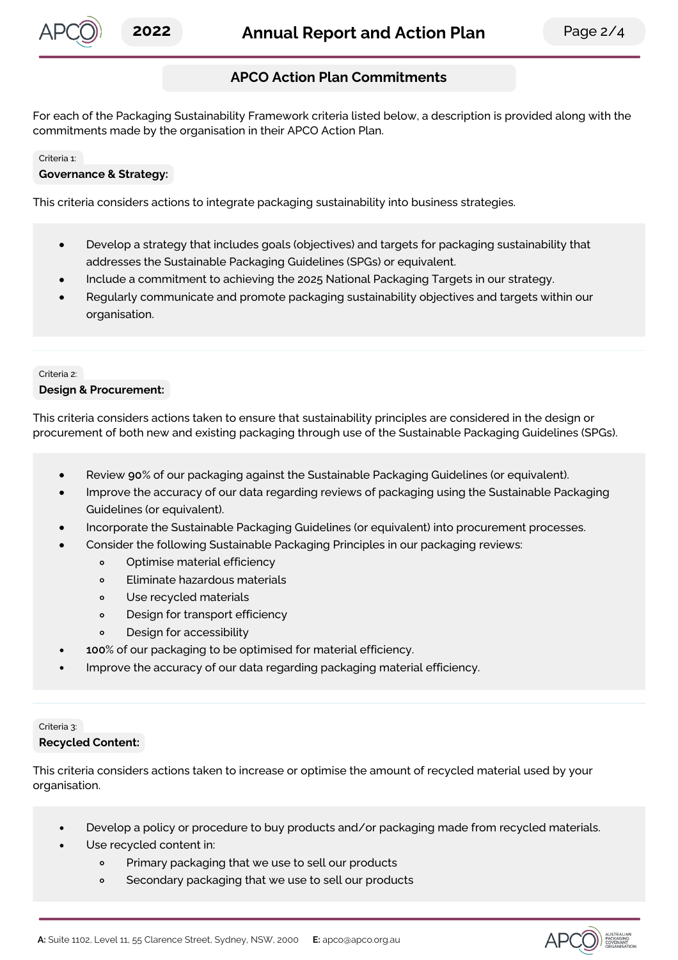

### **APCO Action Plan Commitments**

For each of the Packaging Sustainability Framework criteria listed below, a description is provided along with the commitments made by the organisation in their APCO Action Plan.

#### Criteria 1:

#### **Governance & Strategy:**

This criteria considers actions to integrate packaging sustainability into business strategies.

- Develop a strategy that includes goals (objectives) and targets for packaging sustainability that  $\bullet$ addresses the Sustainable Packaging Guidelines (SPGs) or equivalent.
- Include a commitment to achieving the 2025 National Packaging Targets in our strategy.
- Regularly communicate and promote packaging sustainability objectives and targets within our organisation.

#### Criteria 2:

#### **Design & Procurement:**

This criteria considers actions taken to ensure that sustainability principles are considered in the design or procurement of both new and existing packaging through use of the Sustainable Packaging Guidelines (SPGs).

- Review **90**% of our packaging against the Sustainable Packaging Guidelines (or equivalent).
- Improve the accuracy of our data regarding reviews of packaging using the Sustainable Packaging Guidelines (or equivalent).
- Incorporate the Sustainable Packaging Guidelines (or equivalent) into procurement processes.
- Consider the following Sustainable Packaging Principles in our packaging reviews:
	- $\circ$ Optimise material efficiency
	- $\circ$ Eliminate hazardous materials
	- Use recycled materials  $\circ$
	- Design for transport efficiency  $\circ$
	- Design for accessibility  $\circ$
- **100**% of our packaging to be optimised for material efficiency.
- Improve the accuracy of our data regarding packaging material efficiency.

#### Criteria 3: **Recycled Content:**

This criteria considers actions taken to increase or optimise the amount of recycled material used by your organisation.

- Develop a policy or procedure to buy products and/or packaging made from recycled materials.  $\bullet$
- Use recycled content in:
	- $\circ$ Primary packaging that we use to sell our products
	- Secondary packaging that we use to sell our products  $\circ$

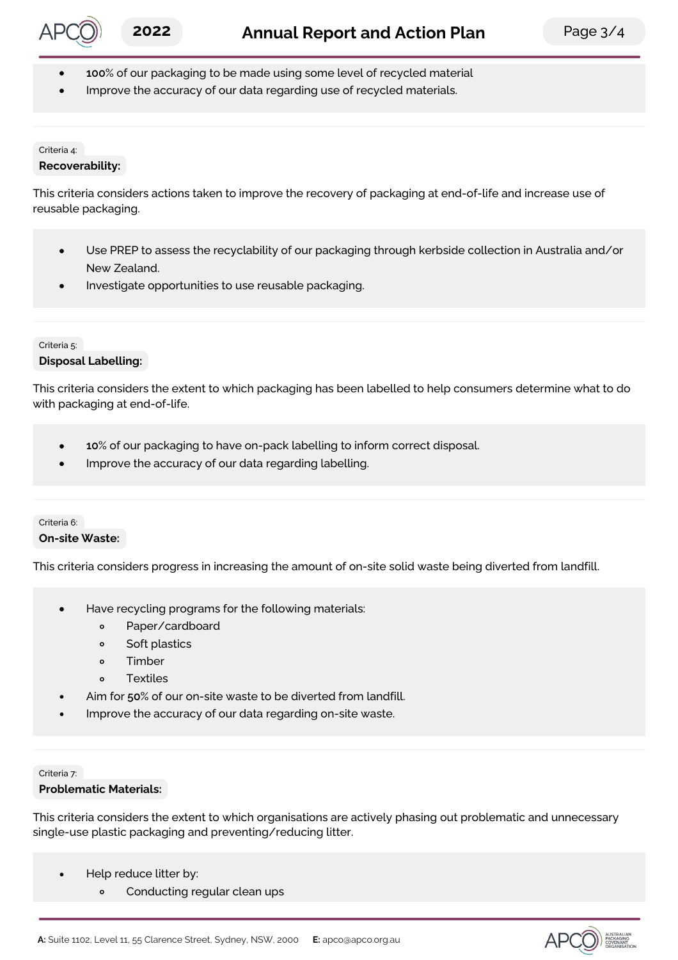

- **100**% of our packaging to be made using some level of recycled material
- Improve the accuracy of our data regarding use of recycled materials.

#### Criteria 4:

#### **Recoverability:**

This criteria considers actions taken to improve the recovery of packaging at end-of-life and increase use of reusable packaging.

- Use PREP to assess the recyclability of our packaging through kerbside collection in Australia and/or New Zealand.
- Investigate opportunities to use reusable packaging.

#### Criteria 5:

**Disposal Labelling:**

This criteria considers the extent to which packaging has been labelled to help consumers determine what to do with packaging at end-of-life.

- **10**% of our packaging to have on-pack labelling to inform correct disposal.  $\bullet$
- Improve the accuracy of our data regarding labelling.

#### Criteria 6: **On-site Waste:**

This criteria considers progress in increasing the amount of on-site solid waste being diverted from landfill.

- Have recycling programs for the following materials:  $\bullet$ 
	- $\circ$ Paper/cardboard
	- $\circ$ Soft plastics
	- Timber  $\circ$
	- **Textiles**  $\circ$
- Aim for **50**% of our on-site waste to be diverted from landfill.
- Improve the accuracy of our data regarding on-site waste.

#### Criteria 7:

 $\bullet$ 

#### **Problematic Materials:**

This criteria considers the extent to which organisations are actively phasing out problematic and unnecessary single-use plastic packaging and preventing/reducing litter.

- Help reduce litter by:
	- Conducting regular clean ups  $\circ$